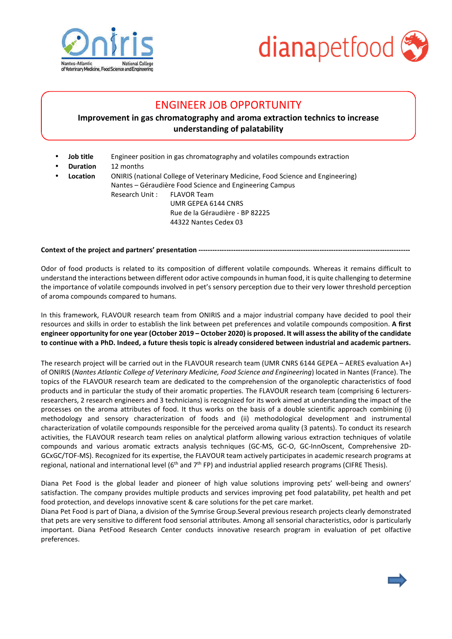



## ENGINEER JOB OPPORTUNITY

## **Improvement in gas chromatography and aroma extraction technics to increase understanding of palatability**

- **Job title** Engineer position in gas chromatography and volatiles compounds extraction
- **Duration** 12 months
- **Location ONIRIS** (national College of Veterinary Medicine, Food Science and Engineering) Nantes – Géraudière Food Science and Engineering Campus Research Unit : FLAVOR Team UMR GEPEA 6144 CNRS Rue de la Géraudière - BP 82225 44322 Nantes Cedex 03

Context of the project and partners' presentation ------------------

Odor of food products is related to its composition of different volatile compounds. Whereas it remains difficult to understand the interactions between different odor active compounds in human food, it is quite challenging to determine the importance of volatile compounds involved in pet's sensory perception due to their very lower threshold perception of aroma compounds compared to humans.

In this framework, FLAVOUR research team from ONIRIS and a major industrial company have decided to pool their resources and skills in order to establish the link between pet preferences and volatile compounds composition. **A first engineer opportunity for one year (October 2019 – October 2020) is proposed. It will assess the ability of the candidate to continue with a PhD. Indeed, a future thesis topic is already considered between industrial and academic partners.** 

The research project will be carried out in the FLAVOUR research team (UMR CNRS 6144 GEPEA – AERES evaluation A+) of ONIRIS (*Nantes Atlantic College of Veterinary Medicine, Food Science and Engineering*) located in Nantes (France). The topics of the FLAVOUR research team are dedicated to the comprehension of the organoleptic characteristics of food products and in particular the study of their aromatic properties. The FLAVOUR research team (comprising 6 lecturersresearchers, 2 research engineers and 3 technicians) is recognized for its work aimed at understanding the impact of the processes on the aroma attributes of food. It thus works on the basis of a double scientific approach combining (i) methodology and sensory characterization of foods and (ii) methodological development and instrumental characterization of volatile compounds responsible for the perceived aroma quality (3 patents). To conduct its research activities, the FLAVOUR research team relies on analytical platform allowing various extraction techniques of volatile compounds and various aromatic extracts analysis techniques (GC-MS, GC-O, GC-InnOscent, Comprehensive 2D-GCxGC/TOF-MS). Recognized for its expertise, the FLAVOUR team actively participates in academic research programs at regional, national and international level (6<sup>th</sup> and  $7<sup>th</sup>$  FP) and industrial applied research programs (CIFRE Thesis).

Diana Pet Food is the global leader and pioneer of high value solutions improving pets' well-being and owners' satisfaction. The company provides multiple products and services improving pet food palatability, pet health and pet food protection, and develops innovative scent & care solutions for the pet care market.

Diana Pet Food is part of Diana, a division of the Symrise Group.Several previous research projects clearly demonstrated that pets are very sensitive to different food sensorial attributes. Among all sensorial characteristics, odor is particularly important. Diana PetFood Research Center conducts innovative research program in evaluation of pet olfactive preferences.